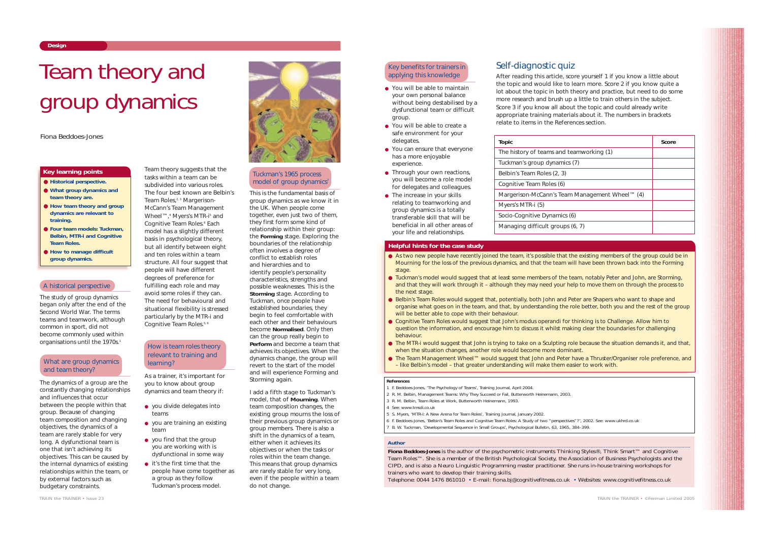Team theory suggests that the tasks within a team can be subdivided into various roles. The four best known are Belbin' s Team Roles,<sup>2,3</sup> Margerison-

McCann's Team Management Wheel™,<sup>4</sup> Myers's MTR-i<sup>5</sup> and Cognitive Team Roles.<sup>6</sup> Each model has a slightly different basis in psychological theory, but all identify between eight and ten roles within a team structure. All four suggest that people will have different degrees of preference for fulfilling each role and may avoid some roles if they can. The need for behavioural and situational flexibility is stressed particularly by the MTR-i and Cognitive Team Roles.<sup>5, 6</sup>

The dynamics of a group are the constantly changing relationships and influences that occur between the people within that group. Because of changing team composition and changing objectives, the dynamics of a team are rarely stable for very long. A dysfunctional team is one that isn't achieving its objectives. This can be caused by the internal dynamics of existing relationships within the team, or by external factors such as budgetary constraints.

- you divide delegates into teams
- you are training an existing team
- you find that the group you are working with is dysfunctional in some way
- it's the first time that the people have come together as a group as they follow Tuckman's process model.



As a trainer, it's important for you to know about group dynamics and team theory if:

# What are group dynamics and team theory?

# Tuckman's 1965 process model of group dynamics<sup>7</sup>

This is the fundamental basis of group dynamics as we know it in the UK. When people come together, even just two of them, they first form some kind of relationship within their group: the **Forming** stage. Exploring the boundaries of the relationship often involves a degree of conflict to establish roles and hierarchies and to identify people's personality characteristics, strengths and possible weaknesses. This is the **Storming** stage. According to Tuckman, once people have established boundaries, they begin to feel comfortable with each other and their behaviours become **Normalised**. Only then can the group really begin to **Perform** and become a team that achieves its objectives. When the dynamics change, the group will revert to the start of the model and will experience Forming and Storming again.

- You will be able to maintain your own personal balance without being destabilised by a dysfunctional team or difficult group.
- You will be able to create a safe environment for your delegates.
- You can ensure that everyone has a more enjoyable experience.
- Through your own reactions, you will become a role model for delegates and colleagues.
- The increase in your skills relating to teamworking and group dynamics is a totally transferable skill that will be beneficial in all other areas of your life and relationships.

I add a fifth stage to Tuckman' s model, that of **Mourning**. When team composition changes, the existing group mourns the loss of their previous group dynamics or group members. There is also a shift in the dynamics of a team, either when it achieves its objectives or when the tasks or roles within the team change. This means that group dynamics are rarely stable for very long, even if the people within a team do not change.

# **Design**

- **Historical perspective.**
- **What group dynamics and team theory are.**
- **How team theory and group dynamics are relevant to training.**
- **Four team models: Tuckman, Belbin, MTR-i and Cognitive Team Roles.**
- How to manage difficult **group dynamics.**

# **Key learning points**

# *Author*

- As two new people have recently joined the team, it's possible that the existing members of the group could be in Mourning for the loss of the previous dynamics, and that the team will have been thrown back into the Forming stage.
- Tuckman's model would suggest that at least some members of the team, notably Peter and John, are Storming, and that they will work through it – although they may need your help to move them on through the process to the next stage.
- Belbin's Team Roles would suggest that, potentially, both John and Peter are Shapers who want to shape and organise what goes on in the team, and that, by understanding the role better, both you and the rest of the group will be better able to cope with their behaviour.
- Cognitive Team Roles would suggest that John's *modus operandi* for thinking is to Challenge. Allow him to question the information, and encourage him to discuss it whilst making clear the boundaries for challenging behaviour.
- The MTR-i would suggest that John is trying to take on a Sculpting role because the situation demands it, and that, when the situation changes, another role would become more dominant.
- The Team Management Wheel™ would suggest that John and Peter have a Thruster/Organiser role preference, and – like Belbin's model – that greater understanding will make them easier to work with.

**Fiona Beddoes-Jones** is the author of the psychometric instruments Thinking Styles®, Think Smart™ and Cognitive Team Roles™. She is a member of the British Psychological Society, the Association of Business Psychologists and the CIPD, and is also a Neuro Linguistic Programming master practitioner. She runs in-house training workshops for trainers who want to develop their training skills.

Telephone: 0044 1476 861010 • E-mail: fiona.bj@cognitivefitness.co.uk • Websites: www.cognitivefitness.co.uk

# Team theory and group dynamics

# *Fiona Beddoes-Jones*

# A historical perspective

The study of group dynamics began only after the end of the Second World War. The terms *teams* and *teamwork*, although common in sport, did not become commonly used within organisations until the 1970s.<sup>1</sup>

# How is team roles theory relevant to training and learning?

#### **References**

- 1 F. Beddoes-Jones, 'The Psychology of Teams', *Training Journal*, April 2004.
- 2 R. M. Belbin, *Management Teams: Why They Succeed or Fail*, Butterworth Heinemann, 2003.
- 3 R. M. Belbin, *Team Roles at Work*, Butterworth Heinemann, 1993.
- 4 See: www.tmsdi.co.uk
- 5 S. Myers, 'MTR-i: A New Arena for Team Roles', *Training Journal*, January 2002.
- 6 F. Beddoes-Jones, 'Belbin's Team Roles and Cognitive Team Roles: A Study of two "perspectives"?', 2002. See: www.ukhrd.co.uk
- 7 B. W. Tuckman, 'Developmental Sequence in Small Groups', *Psychological Bulletin*, 63, 1965, 384–399.

#### **Helpful hints for the case study**

| Topic                                          | Score |
|------------------------------------------------|-------|
| The history of teams and teamworking (1)       |       |
| Tuckman's group dynamics (7)                   |       |
| Belbin's Team Roles (2, 3)                     |       |
| Cognitive Team Roles (6)                       |       |
| Margerison-McCann's Team Management Wheel™ (4) |       |
| Myers's MTR-i (5)                              |       |
| Socio-Cognitive Dynamics (6)                   |       |
| Managing difficult groups (6, 7)               |       |
|                                                |       |



# Key benefits for trainers in applying this knowledge

Self-diagnostic quiz

After reading this article, score yourself 1 if you know a little about the topic and would like to learn more. Score 2 if you know quite a lot about the topic in both theory and practice, but need to do some more research and brush up a little to train others in the subject. Score 3 if you know all about the topic and could already write appropriate training materials about it. The numbers in brackets relate to items in the References section.